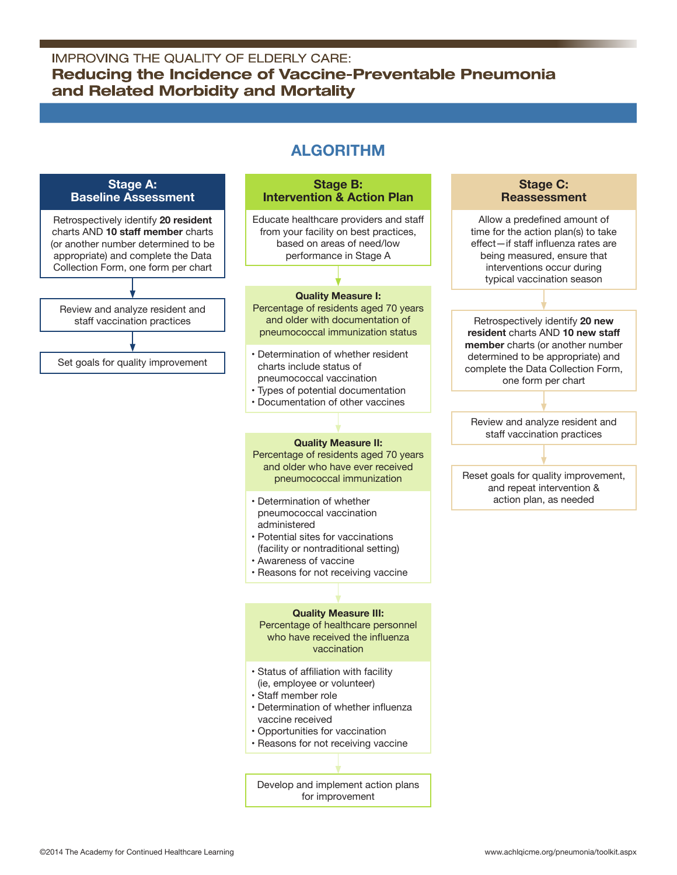### **IMPROVING THE QUALITY OF ELDERLY CARE:** Reducing the Incidence of Vaccine-Preventable Pneumonia and Related Morbidity and Mortality

# **Algorithm**